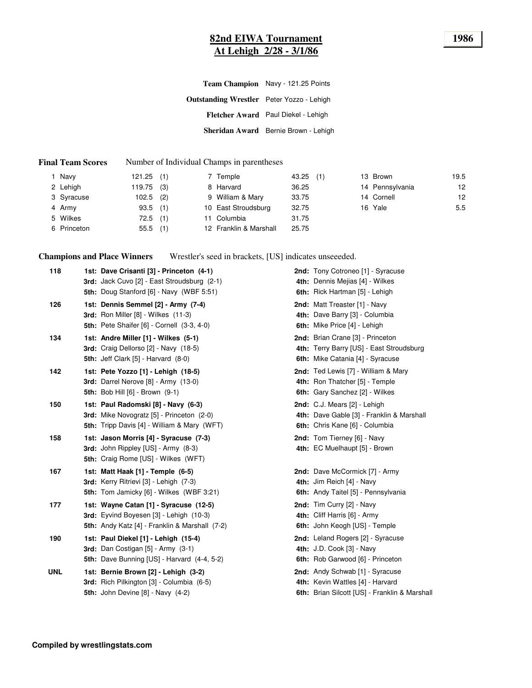### **82nd EIWA Tournament 1986 At Lehigh 2/28 - 3/1/86**

|                                                  | Team Champion Navy - 121.25 Points   |
|--------------------------------------------------|--------------------------------------|
| <b>Outstanding Wrestler</b> Peter Yozzo - Lehigh |                                      |
|                                                  | Fletcher Award Paul Diekel - Lehigh  |
|                                                  | Sheridan Award Bernie Brown - Lehigh |
|                                                  |                                      |

#### **Final Team Scores** Number of Individual Champs in parentheses

| Navy        | $121.25$ (1) | 7 Temple               | 43.25<br>(1) | 13 Brown        | 19.5 |
|-------------|--------------|------------------------|--------------|-----------------|------|
| 2 Lehigh    | $119.75$ (3) | 8 Harvard              | 36.25        | 14 Pennsylvania | 12   |
| 3 Syracuse  | $102.5$ (2)  | 9 William & Mary       | 33.75        | 14 Cornell      | 12   |
| 4 Army      | $93.5$ (1)   | 10 East Stroudsburg    | 32.75        | 16 Yale         | 5.5  |
| 5 Wilkes    | $72.5$ (1)   | 11 Columbia            | 31.75        |                 |      |
| 6 Princeton | $55.5$ (1)   | 12 Franklin & Marshall | 25.75        |                 |      |

**Champions and Place Winners** Wrestler's seed in brackets, [US] indicates unseeeded.

| 118        | 1st: Dave Crisanti [3] - Princeton (4-1)<br>3rd: Jack Cuvo [2] - East Stroudsburg (2-1)<br><b>5th: Doug Stanford [6] - Navy (WBF 5:51)</b>    | 2nd: Tony Cotroneo [1] - Syracuse<br>4th: Dennis Mejias [4] - Wilkes<br>6th: Rick Hartman [5] - Lehigh                      |
|------------|-----------------------------------------------------------------------------------------------------------------------------------------------|-----------------------------------------------------------------------------------------------------------------------------|
| 126        | 1st: Dennis Semmel [2] - Army (7-4)<br><b>3rd:</b> Ron Miller [8] - Wilkes (11-3)<br><b>5th: Pete Shaifer [6] - Cornell (3-3, 4-0)</b>        | 2nd: Matt Treaster [1] - Navy<br>4th: Dave Barry [3] - Columbia<br>6th: Mike Price [4] - Lehigh                             |
| 134        | 1st: Andre Miller [1] - Wilkes (5-1)<br>3rd: Craig Dellorso [2] - Navy (18-5)<br><b>5th:</b> Jeff Clark $[5]$ - Harvard $(8-0)$               | 2nd: Brian Crane [3] - Princeton<br>4th: Terry Barry [US] - East Stroudsburg<br>6th: Mike Catania [4] - Syracuse            |
| 142        | 1st: Pete Yozzo [1] - Lehigh (18-5)<br>3rd: Darrel Nerove [8] - Army (13-0)<br><b>5th: Bob Hill [6] - Brown (9-1)</b>                         | 2nd: Ted Lewis [7] - William & Mary<br>4th: Ron Thatcher [5] - Temple<br>6th: Gary Sanchez [2] - Wilkes                     |
| 150        | 1st: Paul Radomski [8] - Navy (6-3)<br><b>3rd:</b> Mike Novogratz [5] - Princeton (2-0)<br><b>5th:</b> Tripp Davis [4] - William & Mary (WFT) | 2nd: C.J. Mears [2] - Lehigh<br>4th: Dave Gable [3] - Franklin & Marshall<br>6th: Chris Kane [6] - Columbia                 |
| 158        | 1st: Jason Morris [4] - Syracuse (7-3)<br>3rd: John Rippley [US] - Army (8-3)<br><b>5th:</b> Craig Rome [US] - Wilkes (WFT)                   | 2nd: Tom Tierney [6] - Navy<br>4th: EC Muelhaupt [5] - Brown                                                                |
| 167        | 1st: Matt Haak [1] - Temple (6-5)<br>3rd: Kerry Ritrievi [3] - Lehigh (7-3)<br>5th: Tom Jamicky [6] - Wilkes (WBF 3:21)                       | 2nd: Dave McCormick [7] - Army<br>4th: Jim Reich [4] - Navy<br><b>6th:</b> Andy Taitel [5] - Pennsylvania                   |
| 177        | 1st: Wayne Catan [1] - Syracuse (12-5)<br><b>3rd:</b> Eyvind Boyesen [3] - Lehigh (10-3)<br>5th: Andy Katz [4] - Franklin & Marshall (7-2)    | 2nd: Tim Curry [2] - Navy<br>4th: Cliff Harris [6] - Army<br>6th: John Keogh [US] - Temple                                  |
| 190        | 1st: Paul Diekel [1] - Lehigh (15-4)<br>3rd: Dan Costigan [5] - Army (3-1)<br>5th: Dave Bunning [US] - Harvard (4-4, 5-2)                     | 2nd: Leland Rogers [2] - Syracuse<br>4th: J.D. Cook [3] - Navy<br>6th: Rob Garwood [6] - Princeton                          |
| <b>UNL</b> | 1st: Bernie Brown [2] - Lehigh (3-2)<br>3rd: Rich Pilkington [3] - Columbia (6-5)<br><b>5th: John Devine [8] - Navy (4-2)</b>                 | <b>2nd:</b> Andy Schwab [1] - Syracuse<br>4th: Kevin Wattles [4] - Harvard<br>6th: Brian Silcott [US] - Franklin & Marshall |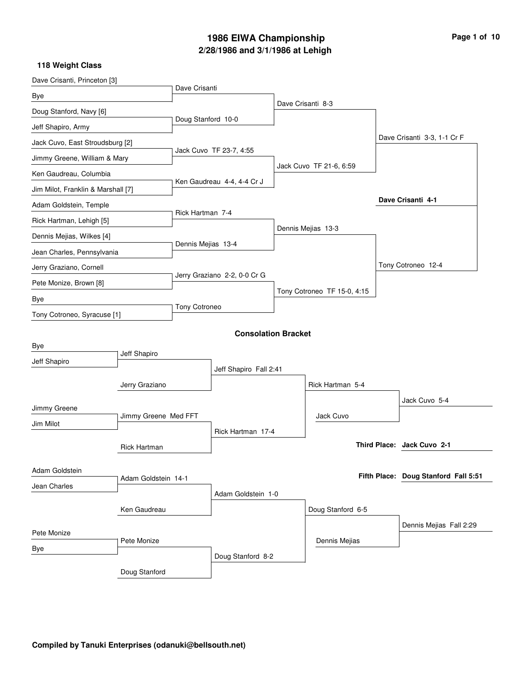# **2/28/1986 and 3/1/1986 at Lehigh 1986 EIWA Championship Page 1 of 10**

| Dave Crisanti, Princeton [3]       |                      |                    |                              |                             |                                      |
|------------------------------------|----------------------|--------------------|------------------------------|-----------------------------|--------------------------------------|
| Bye                                |                      | Dave Crisanti      |                              |                             |                                      |
| Doug Stanford, Navy [6]            |                      |                    |                              | Dave Crisanti 8-3           |                                      |
| Jeff Shapiro, Army                 |                      | Doug Stanford 10-0 |                              |                             |                                      |
| Jack Cuvo, East Stroudsburg [2]    |                      |                    |                              |                             | Dave Crisanti 3-3, 1-1 Cr F          |
| Jimmy Greene, William & Mary       |                      |                    | Jack Cuvo TF 23-7, 4:55      |                             |                                      |
| Ken Gaudreau, Columbia             |                      |                    |                              | Jack Cuvo TF 21-6, 6:59     |                                      |
| Jim Milot, Franklin & Marshall [7] |                      |                    | Ken Gaudreau 4-4, 4-4 Cr J   |                             |                                      |
| Adam Goldstein, Temple             |                      |                    |                              |                             | Dave Crisanti 4-1                    |
| Rick Hartman, Lehigh [5]           |                      | Rick Hartman 7-4   |                              |                             |                                      |
| Dennis Mejias, Wilkes [4]          |                      |                    |                              | Dennis Mejias 13-3          |                                      |
| Jean Charles, Pennsylvania         |                      | Dennis Mejias 13-4 |                              |                             |                                      |
| Jerry Graziano, Cornell            |                      |                    | Jerry Graziano 2-2, 0-0 Cr G |                             | Tony Cotroneo 12-4                   |
| Pete Monize, Brown [8]             |                      |                    |                              | Tony Cotroneo TF 15-0, 4:15 |                                      |
| Bye                                |                      | Tony Cotroneo      |                              |                             |                                      |
| Tony Cotroneo, Syracuse [1]        |                      |                    |                              |                             |                                      |
|                                    |                      |                    | <b>Consolation Bracket</b>   |                             |                                      |
| Bye                                | Jeff Shapiro         |                    |                              |                             |                                      |
| Jeff Shapiro                       |                      |                    | Jeff Shapiro Fall 2:41       |                             |                                      |
|                                    | Jerry Graziano       |                    |                              | Rick Hartman 5-4            |                                      |
|                                    |                      |                    |                              |                             | Jack Cuvo 5-4                        |
| Jimmy Greene                       | Jimmy Greene Med FFT |                    |                              | Jack Cuvo                   |                                      |
| Jim Milot                          |                      |                    | Rick Hartman 17-4            |                             |                                      |
|                                    | Rick Hartman         |                    |                              |                             | Third Place: Jack Cuvo 2-1           |
|                                    |                      |                    |                              |                             |                                      |
| Adam Goldstein                     | Adam Goldstein 14-1  |                    |                              |                             | Fifth Place: Doug Stanford Fall 5:51 |
| Jean Charles                       |                      |                    | Adam Goldstein 1-0           |                             |                                      |
|                                    | Ken Gaudreau         |                    |                              | Doug Stanford 6-5           |                                      |
|                                    |                      |                    |                              |                             | Dennis Mejias Fall 2:29              |
| Pete Monize                        | Pete Monize          |                    |                              | Dennis Mejias               |                                      |
| Bye                                |                      |                    | Doug Stanford 8-2            |                             |                                      |
|                                    | Doug Stanford        |                    |                              |                             |                                      |
|                                    |                      |                    |                              |                             |                                      |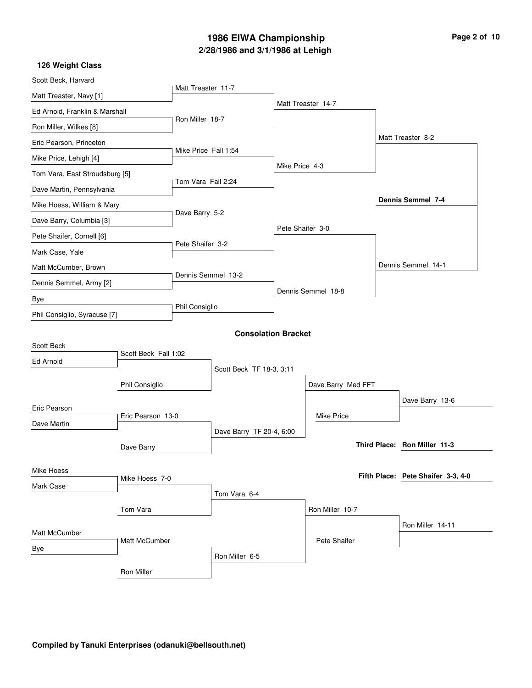# **2/28/1986 and 3/1/1986 at Lehigh 1986 EIWA Championship Page 2 of 10**

| Scott Beck, Harvard            |                      |                      |                            |                  |                    |                                    |
|--------------------------------|----------------------|----------------------|----------------------------|------------------|--------------------|------------------------------------|
| Matt Treaster, Navy [1]        |                      | Matt Treaster 11-7   |                            |                  |                    |                                    |
| Ed Arnold, Franklin & Marshall |                      |                      |                            |                  | Matt Treaster 14-7 |                                    |
| Ron Miller, Wilkes [8]         |                      | Ron Miller 18-7      |                            |                  |                    |                                    |
| Eric Pearson, Princeton        |                      |                      |                            |                  |                    | Matt Treaster 8-2                  |
| Mike Price, Lehigh [4]         |                      | Mike Price Fall 1:54 |                            | Mike Price 4-3   |                    |                                    |
| Tom Vara, East Stroudsburg [5] |                      |                      |                            |                  |                    |                                    |
| Dave Martin, Pennsylvania      |                      | Tom Vara Fall 2:24   |                            |                  |                    |                                    |
| Mike Hoess, William & Mary     |                      | Dave Barry 5-2       |                            |                  |                    | <b>Dennis Semmel 7-4</b>           |
| Dave Barry, Columbia [3]       |                      |                      |                            | Pete Shaifer 3-0 |                    |                                    |
| Pete Shaifer, Cornell [6]      |                      | Pete Shaifer 3-2     |                            |                  |                    |                                    |
| Mark Case, Yale                |                      |                      |                            |                  |                    |                                    |
| Matt McCumber, Brown           |                      |                      |                            |                  |                    | Dennis Semmel 14-1                 |
| Dennis Semmel, Army [2]        |                      | Dennis Semmel 13-2   |                            |                  | Dennis Semmel 18-8 |                                    |
| Bye                            |                      |                      |                            |                  |                    |                                    |
| Phil Consiglio, Syracuse [7]   |                      | Phil Consiglio       |                            |                  |                    |                                    |
|                                |                      |                      | <b>Consolation Bracket</b> |                  |                    |                                    |
| <b>Scott Beck</b>              | Scott Beck Fall 1:02 |                      |                            |                  |                    |                                    |
| Ed Arnold                      |                      |                      | Scott Beck TF 18-3, 3:11   |                  |                    |                                    |
|                                | Phil Consiglio       |                      |                            |                  | Dave Barry Med FFT |                                    |
|                                |                      |                      |                            |                  |                    | Dave Barry 13-6                    |
| Eric Pearson                   | Eric Pearson 13-0    |                      |                            |                  | <b>Mike Price</b>  |                                    |
| Dave Martin                    |                      |                      | Dave Barry TF 20-4, 6:00   |                  |                    |                                    |
|                                | Dave Barry           |                      |                            |                  |                    | Third Place: Ron Miller 11-3       |
|                                |                      |                      |                            |                  |                    |                                    |
| Mike Hoess                     | Mike Hoess 7-0       |                      |                            |                  |                    | Fifth Place: Pete Shaifer 3-3, 4-0 |
| Mark Case                      |                      |                      | Tom Vara 6-4               |                  |                    |                                    |
|                                | Tom Vara             |                      |                            |                  | Ron Miller 10-7    |                                    |
|                                |                      |                      |                            |                  |                    | Ron Miller 14-11                   |
| Matt McCumber                  | Matt McCumber        |                      |                            |                  | Pete Shaifer       |                                    |
| Bye                            |                      |                      | Ron Miller 6-5             |                  |                    |                                    |
|                                | Ron Miller           |                      |                            |                  |                    |                                    |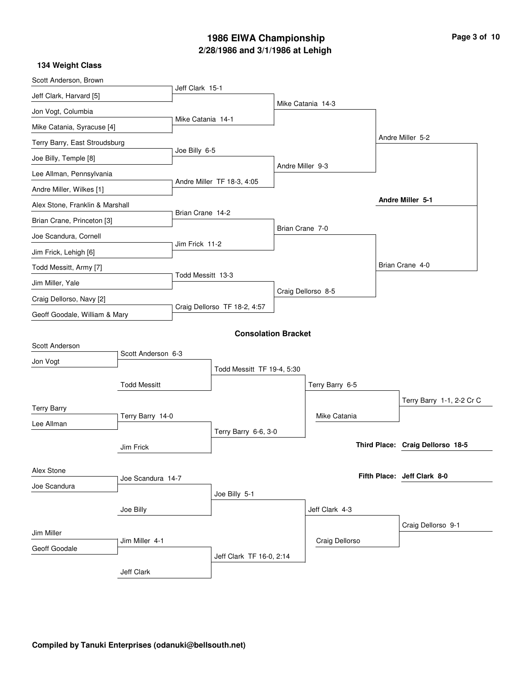# **2/28/1986 and 3/1/1986 at Lehigh 1986 EIWA Championship**

| Page 3 of 10 |  |  |
|--------------|--|--|
|--------------|--|--|

| Scott Anderson, Brown           |                     |                   |                              |                  |                    |  |                                  |
|---------------------------------|---------------------|-------------------|------------------------------|------------------|--------------------|--|----------------------------------|
| Jeff Clark, Harvard [5]         |                     | Jeff Clark 15-1   |                              |                  |                    |  |                                  |
| Jon Vogt, Columbia              |                     |                   |                              |                  | Mike Catania 14-3  |  |                                  |
| Mike Catania, Syracuse [4]      |                     | Mike Catania 14-1 |                              |                  |                    |  |                                  |
| Terry Barry, East Stroudsburg   |                     |                   |                              |                  |                    |  | Andre Miller 5-2                 |
| Joe Billy, Temple [8]           |                     | Joe Billy 6-5     |                              |                  |                    |  |                                  |
| Lee Allman, Pennsylvania        |                     |                   |                              | Andre Miller 9-3 |                    |  |                                  |
| Andre Miller, Wilkes [1]        |                     |                   | Andre Miller TF 18-3, 4:05   |                  |                    |  |                                  |
| Alex Stone, Franklin & Marshall |                     |                   |                              |                  |                    |  | Andre Miller 5-1                 |
| Brian Crane, Princeton [3]      |                     | Brian Crane 14-2  |                              |                  |                    |  |                                  |
| Joe Scandura, Cornell           |                     |                   |                              | Brian Crane 7-0  |                    |  |                                  |
| Jim Frick, Lehigh [6]           |                     | Jim Frick 11-2    |                              |                  |                    |  |                                  |
| Todd Messitt, Army [7]          |                     |                   |                              |                  |                    |  | Brian Crane 4-0                  |
| Jim Miller, Yale                |                     | Todd Messitt 13-3 |                              |                  |                    |  |                                  |
| Craig Dellorso, Navy [2]        |                     |                   |                              |                  | Craig Dellorso 8-5 |  |                                  |
| Geoff Goodale, William & Mary   |                     |                   | Craig Dellorso TF 18-2, 4:57 |                  |                    |  |                                  |
|                                 |                     |                   | <b>Consolation Bracket</b>   |                  |                    |  |                                  |
| Scott Anderson                  |                     |                   |                              |                  |                    |  |                                  |
| Jon Vogt                        | Scott Anderson 6-3  |                   |                              |                  |                    |  |                                  |
|                                 |                     |                   | Todd Messitt TF 19-4, 5:30   |                  |                    |  |                                  |
|                                 | <b>Todd Messitt</b> |                   |                              |                  | Terry Barry 6-5    |  |                                  |
| <b>Terry Barry</b>              |                     |                   |                              |                  |                    |  | Terry Barry 1-1, 2-2 Cr C        |
| Lee Allman                      | Terry Barry 14-0    |                   |                              |                  | Mike Catania       |  |                                  |
|                                 |                     |                   | Terry Barry 6-6, 3-0         |                  |                    |  |                                  |
|                                 | Jim Frick           |                   |                              |                  |                    |  | Third Place: Craig Dellorso 18-5 |
| Alex Stone                      |                     |                   |                              |                  |                    |  |                                  |
| Joe Scandura                    | Joe Scandura 14-7   |                   |                              |                  |                    |  | Fifth Place: Jeff Clark 8-0      |
|                                 |                     |                   | Joe Billy 5-1                |                  |                    |  |                                  |
|                                 | Joe Billy           |                   |                              |                  | Jeff Clark 4-3     |  |                                  |
|                                 |                     |                   |                              |                  |                    |  | Craig Dellorso 9-1               |
| Jim Miller                      | Jim Miller 4-1      |                   |                              |                  | Craig Dellorso     |  |                                  |
| Geoff Goodale                   |                     |                   | Jeff Clark TF 16-0, 2:14     |                  |                    |  |                                  |
|                                 | Jeff Clark          |                   |                              |                  |                    |  |                                  |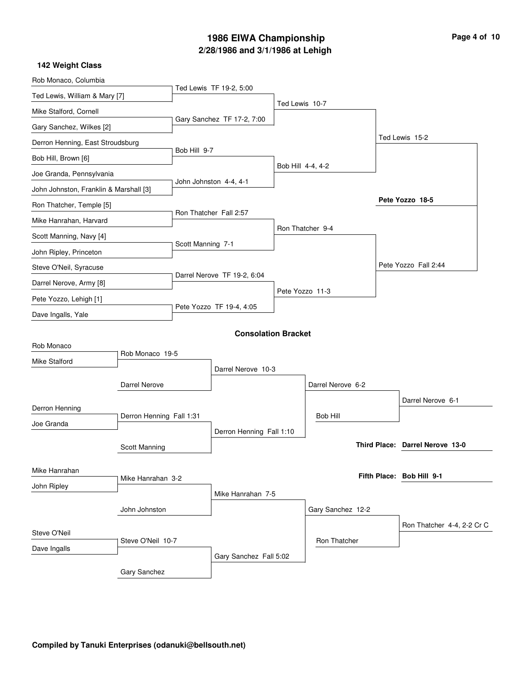### **2/28/1986 and 3/1/1986 at Lehigh 1986 EIWA Championship**

| Page 4 of 10 |  |  |  |  |  |
|--------------|--|--|--|--|--|
|--------------|--|--|--|--|--|

| Rob Monaco, Columbia                   |                          |                   |                             |                   |                   |  |                                 |
|----------------------------------------|--------------------------|-------------------|-----------------------------|-------------------|-------------------|--|---------------------------------|
| Ted Lewis, William & Mary [7]          |                          |                   | Ted Lewis TF 19-2, 5:00     |                   |                   |  |                                 |
| Mike Stalford, Cornell                 |                          |                   |                             | Ted Lewis 10-7    |                   |  |                                 |
| Gary Sanchez, Wilkes [2]               |                          |                   | Gary Sanchez TF 17-2, 7:00  |                   |                   |  |                                 |
| Derron Henning, East Stroudsburg       |                          |                   |                             |                   |                   |  | Ted Lewis 15-2                  |
| Bob Hill, Brown [6]                    |                          | Bob Hill 9-7      |                             |                   |                   |  |                                 |
| Joe Granda, Pennsylvania               |                          |                   |                             | Bob Hill 4-4, 4-2 |                   |  |                                 |
| John Johnston, Franklin & Marshall [3] |                          |                   | John Johnston 4-4, 4-1      |                   |                   |  |                                 |
| Ron Thatcher, Temple [5]               |                          |                   |                             |                   |                   |  | Pete Yozzo 18-5                 |
| Mike Hanrahan, Harvard                 |                          |                   | Ron Thatcher Fall 2:57      |                   |                   |  |                                 |
| Scott Manning, Navy [4]                |                          |                   |                             |                   | Ron Thatcher 9-4  |  |                                 |
| John Ripley, Princeton                 |                          | Scott Manning 7-1 |                             |                   |                   |  |                                 |
| Steve O'Neil, Syracuse                 |                          |                   |                             |                   |                   |  | Pete Yozzo Fall 2:44            |
| Darrel Nerove, Army [8]                |                          |                   | Darrel Nerove TF 19-2, 6:04 |                   |                   |  |                                 |
| Pete Yozzo, Lehigh [1]                 |                          |                   |                             |                   | Pete Yozzo 11-3   |  |                                 |
| Dave Ingalls, Yale                     |                          |                   | Pete Yozzo TF 19-4, 4:05    |                   |                   |  |                                 |
|                                        |                          |                   | <b>Consolation Bracket</b>  |                   |                   |  |                                 |
| Rob Monaco                             |                          |                   |                             |                   |                   |  |                                 |
| <b>Mike Stalford</b>                   | Rob Monaco 19-5          |                   |                             |                   |                   |  |                                 |
|                                        |                          |                   | Darrel Nerove 10-3          |                   |                   |  |                                 |
|                                        | <b>Darrel Nerove</b>     |                   |                             |                   | Darrel Nerove 6-2 |  |                                 |
| Derron Henning                         |                          |                   |                             |                   | <b>Bob Hill</b>   |  | Darrel Nerove 6-1               |
| Joe Granda                             | Derron Henning Fall 1:31 |                   |                             |                   |                   |  |                                 |
|                                        |                          |                   | Derron Henning Fall 1:10    |                   |                   |  | Third Place: Darrel Nerove 13-0 |
|                                        | Scott Manning            |                   |                             |                   |                   |  |                                 |
| Mike Hanrahan                          | Mike Hanrahan 3-2        |                   |                             |                   |                   |  | Fifth Place: Bob Hill 9-1       |
| John Ripley                            |                          |                   | Mike Hanrahan 7-5           |                   |                   |  |                                 |
|                                        | John Johnston            |                   |                             |                   | Gary Sanchez 12-2 |  |                                 |
|                                        |                          |                   |                             |                   |                   |  | Ron Thatcher 4-4, 2-2 Cr C      |
| Steve O'Neil                           | Steve O'Neil 10-7        |                   |                             |                   | Ron Thatcher      |  |                                 |
| Dave Ingalls                           |                          |                   | Gary Sanchez Fall 5:02      |                   |                   |  |                                 |
|                                        | Gary Sanchez             |                   |                             |                   |                   |  |                                 |
|                                        |                          |                   |                             |                   |                   |  |                                 |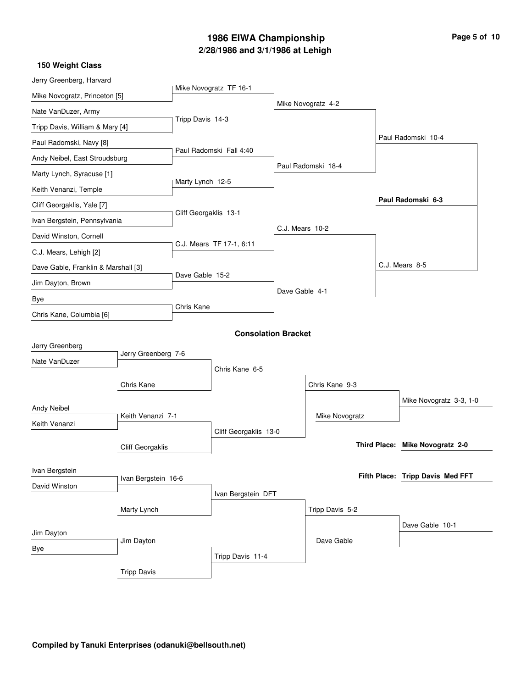# **2/28/1986 and 3/1/1986 at Lehigh 1986 EIWA Championship Page 5 of 10**

| Jerry Greenberg, Harvard            |                     |                       |                            |                 |                    |  |                                  |  |
|-------------------------------------|---------------------|-----------------------|----------------------------|-----------------|--------------------|--|----------------------------------|--|
| Mike Novogratz, Princeton [5]       |                     |                       | Mike Novogratz TF 16-1     |                 |                    |  |                                  |  |
| Nate VanDuzer, Army                 |                     |                       |                            |                 | Mike Novogratz 4-2 |  |                                  |  |
| Tripp Davis, William & Mary [4]     |                     | Tripp Davis 14-3      |                            |                 |                    |  |                                  |  |
| Paul Radomski, Navy [8]             |                     |                       |                            |                 |                    |  | Paul Radomski 10-4               |  |
| Andy Neibel, East Stroudsburg       |                     |                       | Paul Radomski Fall 4:40    |                 |                    |  |                                  |  |
| Marty Lynch, Syracuse [1]           |                     |                       |                            |                 | Paul Radomski 18-4 |  |                                  |  |
| Keith Venanzi, Temple               |                     | Marty Lynch 12-5      |                            |                 |                    |  |                                  |  |
| Cliff Georgaklis, Yale [7]          |                     |                       |                            |                 |                    |  | Paul Radomski 6-3                |  |
| Ivan Bergstein, Pennsylvania        |                     | Cliff Georgaklis 13-1 |                            |                 |                    |  |                                  |  |
| David Winston, Cornell              |                     |                       |                            | C.J. Mears 10-2 |                    |  |                                  |  |
| C.J. Mears, Lehigh [2]              |                     |                       | C.J. Mears TF 17-1, 6:11   |                 |                    |  |                                  |  |
| Dave Gable, Franklin & Marshall [3] |                     |                       |                            |                 |                    |  | C.J. Mears 8-5                   |  |
| Jim Dayton, Brown                   |                     | Dave Gable 15-2       |                            |                 |                    |  |                                  |  |
| Bye                                 |                     |                       |                            | Dave Gable 4-1  |                    |  |                                  |  |
| Chris Kane, Columbia [6]            |                     | Chris Kane            |                            |                 |                    |  |                                  |  |
|                                     |                     |                       | <b>Consolation Bracket</b> |                 |                    |  |                                  |  |
| Jerry Greenberg                     |                     |                       |                            |                 |                    |  |                                  |  |
| Nate VanDuzer                       | Jerry Greenberg 7-6 |                       |                            |                 |                    |  |                                  |  |
|                                     |                     |                       | Chris Kane 6-5             |                 |                    |  |                                  |  |
|                                     | Chris Kane          |                       |                            |                 | Chris Kane 9-3     |  |                                  |  |
| Andy Neibel                         |                     |                       |                            |                 |                    |  | Mike Novogratz 3-3, 1-0          |  |
| Keith Venanzi                       | Keith Venanzi 7-1   |                       |                            |                 | Mike Novogratz     |  |                                  |  |
|                                     |                     |                       | Cliff Georgaklis 13-0      |                 |                    |  |                                  |  |
|                                     | Cliff Georgaklis    |                       |                            |                 |                    |  | Third Place: Mike Novogratz 2-0  |  |
| Ivan Bergstein                      |                     |                       |                            |                 |                    |  |                                  |  |
| David Winston                       | Ivan Bergstein 16-6 |                       |                            |                 |                    |  | Fifth Place: Tripp Davis Med FFT |  |
|                                     |                     |                       | Ivan Bergstein DFT         |                 |                    |  |                                  |  |
|                                     | Marty Lynch         |                       |                            |                 | Tripp Davis 5-2    |  |                                  |  |
| Jim Dayton                          |                     |                       |                            |                 |                    |  | Dave Gable 10-1                  |  |
| Bye                                 | Jim Dayton          |                       |                            |                 | Dave Gable         |  |                                  |  |
|                                     |                     |                       | Tripp Davis 11-4           |                 |                    |  |                                  |  |
|                                     | <b>Tripp Davis</b>  |                       |                            |                 |                    |  |                                  |  |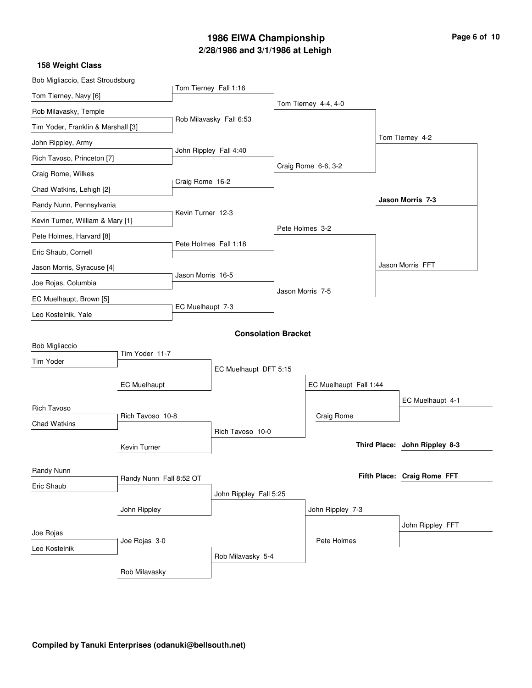# **2/28/1986 and 3/1/1986 at Lehigh 1986 EIWA Championship Page 6 of 10**

| Bob Migliaccio, East Stroudsburg   |                         |                   |                            |                  |                        |                               |  |
|------------------------------------|-------------------------|-------------------|----------------------------|------------------|------------------------|-------------------------------|--|
| Tom Tierney, Navy [6]              |                         |                   | Tom Tierney Fall 1:16      |                  |                        |                               |  |
| Rob Milavasky, Temple              |                         |                   |                            |                  | Tom Tierney 4-4, 4-0   |                               |  |
| Tim Yoder, Franklin & Marshall [3] |                         |                   | Rob Milavasky Fall 6:53    |                  |                        |                               |  |
| John Rippley, Army                 |                         |                   |                            |                  |                        | Tom Tierney 4-2               |  |
| Rich Tavoso, Princeton [7]         |                         |                   | John Rippley Fall 4:40     |                  |                        |                               |  |
| Craig Rome, Wilkes                 |                         |                   |                            |                  | Craig Rome 6-6, 3-2    |                               |  |
| Chad Watkins, Lehigh [2]           |                         | Craig Rome 16-2   |                            |                  |                        |                               |  |
| Randy Nunn, Pennsylvania           |                         |                   |                            |                  |                        | <b>Jason Morris 7-3</b>       |  |
| Kevin Turner, William & Mary [1]   |                         | Kevin Turner 12-3 |                            |                  |                        |                               |  |
| Pete Holmes, Harvard [8]           |                         |                   |                            | Pete Holmes 3-2  |                        |                               |  |
| Eric Shaub, Cornell                |                         |                   | Pete Holmes Fall 1:18      |                  |                        |                               |  |
| Jason Morris, Syracuse [4]         |                         | Jason Morris 16-5 |                            |                  |                        | Jason Morris FFT              |  |
| Joe Rojas, Columbia                |                         |                   |                            |                  |                        |                               |  |
| EC Muelhaupt, Brown [5]            |                         |                   |                            | Jason Morris 7-5 |                        |                               |  |
| Leo Kostelnik, Yale                |                         | EC Muelhaupt 7-3  |                            |                  |                        |                               |  |
|                                    |                         |                   | <b>Consolation Bracket</b> |                  |                        |                               |  |
| <b>Bob Migliaccio</b>              |                         |                   |                            |                  |                        |                               |  |
| Tim Yoder                          | Tim Yoder 11-7          |                   |                            |                  |                        |                               |  |
|                                    |                         |                   | EC Muelhaupt DFT 5:15      |                  |                        |                               |  |
|                                    | <b>EC Muelhaupt</b>     |                   |                            |                  | EC Muelhaupt Fall 1:44 |                               |  |
| <b>Rich Tavoso</b>                 | Rich Tavoso 10-8        |                   |                            |                  | Craig Rome             | EC Muelhaupt 4-1              |  |
| <b>Chad Watkins</b>                |                         |                   | Rich Tavoso 10-0           |                  |                        |                               |  |
|                                    | <b>Kevin Turner</b>     |                   |                            |                  |                        | Third Place: John Rippley 8-3 |  |
|                                    |                         |                   |                            |                  |                        |                               |  |
| Randy Nunn                         | Randy Nunn Fall 8:52 OT |                   |                            |                  |                        | Fifth Place: Craig Rome FFT   |  |
| Eric Shaub                         |                         |                   | John Rippley Fall 5:25     |                  |                        |                               |  |
|                                    | John Rippley            |                   |                            |                  | John Rippley 7-3       |                               |  |
|                                    |                         |                   |                            |                  |                        | John Rippley FFT              |  |
| Joe Rojas                          | Joe Rojas 3-0           |                   |                            |                  | Pete Holmes            |                               |  |
| Leo Kostelnik                      |                         |                   | Rob Milavasky 5-4          |                  |                        |                               |  |
|                                    | Rob Milavasky           |                   |                            |                  |                        |                               |  |
|                                    |                         |                   |                            |                  |                        |                               |  |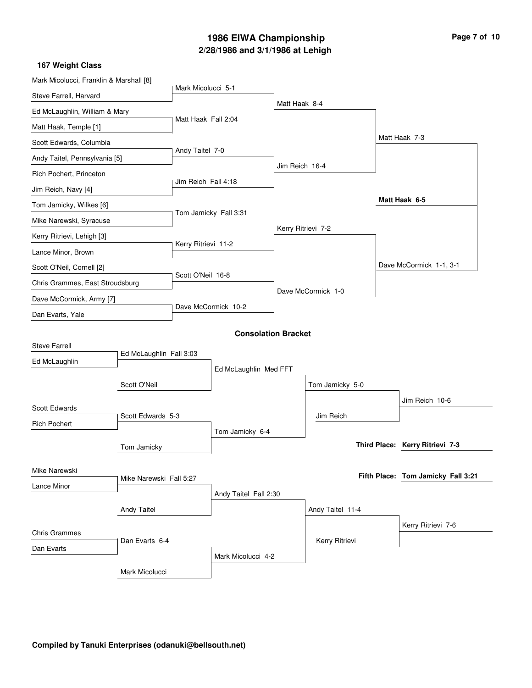## **2/28/1986 and 3/1/1986 at Lehigh 1986 EIWA Championship Page 7 of 10**

| Mark Micolucci, Franklin & Marshall [8]      |                         |                     |                            |                    |                    |                                    |
|----------------------------------------------|-------------------------|---------------------|----------------------------|--------------------|--------------------|------------------------------------|
| Steve Farrell, Harvard                       |                         | Mark Micolucci 5-1  |                            |                    |                    |                                    |
| Ed McLaughlin, William & Mary                |                         |                     |                            | Matt Haak 8-4      |                    |                                    |
| Matt Haak, Temple [1]                        |                         | Matt Haak Fall 2:04 |                            |                    |                    |                                    |
| Scott Edwards, Columbia                      |                         |                     |                            |                    |                    | Matt Haak 7-3                      |
| Andy Taitel, Pennsylvania [5]                |                         | Andy Taitel 7-0     |                            |                    |                    |                                    |
| Rich Pochert, Princeton                      |                         | Jim Reich Fall 4:18 |                            | Jim Reich 16-4     |                    |                                    |
| Jim Reich, Navy [4]                          |                         |                     |                            |                    |                    |                                    |
| Tom Jamicky, Wilkes [6]                      |                         |                     |                            |                    |                    | Matt Haak 6-5                      |
| Mike Narewski, Syracuse                      |                         |                     | Tom Jamicky Fall 3:31      |                    |                    |                                    |
| Kerry Ritrievi, Lehigh [3]                   |                         |                     |                            | Kerry Ritrievi 7-2 |                    |                                    |
| Lance Minor, Brown                           |                         | Kerry Ritrievi 11-2 |                            |                    |                    |                                    |
| Scott O'Neil, Cornell [2]                    |                         |                     |                            |                    |                    | Dave McCormick 1-1, 3-1            |
| Chris Grammes, East Stroudsburg              |                         | Scott O'Neil 16-8   |                            |                    | Dave McCormick 1-0 |                                    |
| Dave McCormick, Army [7]<br>Dan Evarts, Yale |                         | Dave McCormick 10-2 |                            |                    |                    |                                    |
|                                              |                         |                     |                            |                    |                    |                                    |
|                                              |                         |                     | <b>Consolation Bracket</b> |                    |                    |                                    |
| <b>Steve Farrell</b>                         | Ed McLaughlin Fall 3:03 |                     |                            |                    |                    |                                    |
| Ed McLaughlin                                |                         |                     | Ed McLaughlin Med FFT      |                    |                    |                                    |
|                                              | Scott O'Neil            |                     |                            |                    | Tom Jamicky 5-0    |                                    |
|                                              |                         |                     |                            |                    |                    | Jim Reich 10-6                     |
| Scott Edwards                                | Scott Edwards 5-3       |                     |                            |                    | Jim Reich          |                                    |
| <b>Rich Pochert</b>                          |                         |                     | Tom Jamicky 6-4            |                    |                    |                                    |
|                                              | Tom Jamicky             |                     |                            |                    |                    | Third Place: Kerry Ritrievi 7-3    |
|                                              |                         |                     |                            |                    |                    |                                    |
| Mike Narewski                                | Mike Narewski Fall 5:27 |                     |                            |                    |                    | Fifth Place: Tom Jamicky Fall 3:21 |
| Lance Minor                                  |                         |                     | Andy Taitel Fall 2:30      |                    |                    |                                    |
|                                              | <b>Andy Taitel</b>      |                     |                            |                    | Andy Taitel 11-4   |                                    |
|                                              |                         |                     |                            |                    |                    | Kerry Ritrievi 7-6                 |
| <b>Chris Grammes</b>                         | Dan Evarts 6-4          |                     |                            |                    | Kerry Ritrievi     |                                    |
| Dan Evarts                                   |                         |                     | Mark Micolucci 4-2         |                    |                    |                                    |
|                                              | Mark Micolucci          |                     |                            |                    |                    |                                    |
|                                              |                         |                     |                            |                    |                    |                                    |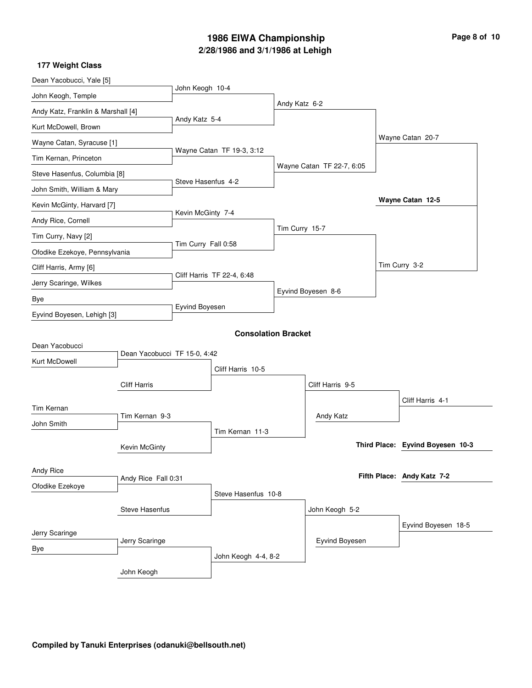# **2/28/1986 and 3/1/1986 at Lehigh 1986 EIWA Championship Page 8 of 10**

| Dean Yacobucci, Yale [5]           |                              |                            |                            |                |                           |  |                                  |
|------------------------------------|------------------------------|----------------------------|----------------------------|----------------|---------------------------|--|----------------------------------|
| John Keogh, Temple                 |                              | John Keogh 10-4            |                            |                |                           |  |                                  |
| Andy Katz, Franklin & Marshall [4] |                              | Andy Katz 5-4              |                            | Andy Katz 6-2  |                           |  |                                  |
| Kurt McDowell, Brown               |                              |                            |                            |                |                           |  |                                  |
| Wayne Catan, Syracuse [1]          |                              |                            |                            |                |                           |  | Wayne Catan 20-7                 |
| Tim Kernan, Princeton              |                              | Wayne Catan TF 19-3, 3:12  |                            |                |                           |  |                                  |
| Steve Hasenfus, Columbia [8]       |                              | Steve Hasenfus 4-2         |                            |                | Wayne Catan TF 22-7, 6:05 |  |                                  |
| John Smith, William & Mary         |                              |                            |                            |                |                           |  |                                  |
| Kevin McGinty, Harvard [7]         |                              |                            |                            |                |                           |  | Wayne Catan 12-5                 |
| Andy Rice, Cornell                 |                              | Kevin McGinty 7-4          |                            |                |                           |  |                                  |
| Tim Curry, Navy [2]                |                              | Tim Curry Fall 0:58        |                            | Tim Curry 15-7 |                           |  |                                  |
| Ofodike Ezekoye, Pennsylvania      |                              |                            |                            |                |                           |  |                                  |
| Cliff Harris, Army [6]             |                              | Cliff Harris TF 22-4, 6:48 |                            |                |                           |  | Tim Curry 3-2                    |
| Jerry Scaringe, Wilkes             |                              |                            |                            |                |                           |  |                                  |
| Bye                                |                              |                            |                            |                | Eyvind Boyesen 8-6        |  |                                  |
| Eyvind Boyesen, Lehigh [3]         |                              | Eyvind Boyesen             |                            |                |                           |  |                                  |
|                                    |                              |                            | <b>Consolation Bracket</b> |                |                           |  |                                  |
| Dean Yacobucci                     |                              |                            |                            |                |                           |  |                                  |
| Kurt McDowell                      | Dean Yacobucci TF 15-0, 4:42 |                            |                            |                |                           |  |                                  |
|                                    |                              |                            | Cliff Harris 10-5          |                |                           |  |                                  |
|                                    | <b>Cliff Harris</b>          |                            |                            |                | Cliff Harris 9-5          |  |                                  |
| Tim Kernan                         |                              |                            |                            |                |                           |  | Cliff Harris 4-1                 |
| John Smith                         | Tim Kernan 9-3               |                            |                            |                | Andy Katz                 |  |                                  |
|                                    |                              | Tim Kernan 11-3            |                            |                |                           |  |                                  |
|                                    | Kevin McGinty                |                            |                            |                |                           |  | Third Place: Eyvind Boyesen 10-3 |
| Andy Rice                          |                              |                            |                            |                |                           |  |                                  |
| Ofodike Ezekoye                    | Andy Rice Fall 0:31          |                            |                            |                |                           |  | Fifth Place: Andy Katz 7-2       |
|                                    |                              |                            | Steve Hasenfus 10-8        |                |                           |  |                                  |
| <b>Steve Hasenfus</b>              |                              |                            |                            |                | John Keogh 5-2            |  |                                  |
| Jerry Scaringe                     |                              |                            |                            |                |                           |  | Eyvind Boyesen 18-5              |
| Bye                                | Jerry Scaringe               |                            |                            |                | Eyvind Boyesen            |  |                                  |
|                                    |                              |                            | John Keogh 4-4, 8-2        |                |                           |  |                                  |
|                                    | John Keogh                   |                            |                            |                |                           |  |                                  |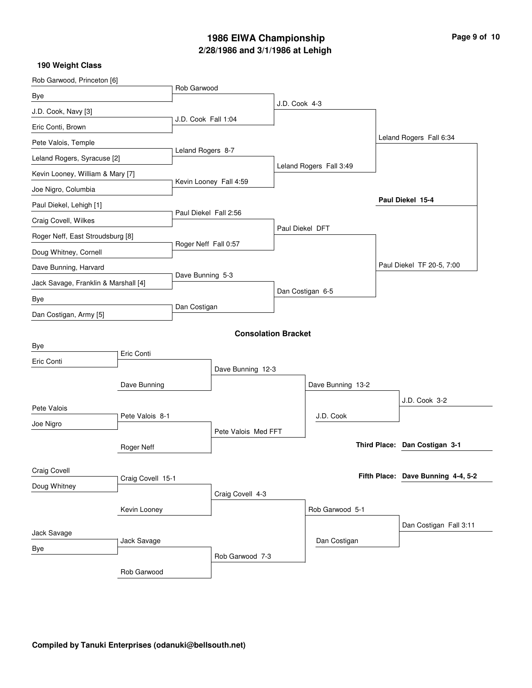# **2/28/1986 and 3/1/1986 at Lehigh 1986 EIWA Championship Page 9 of 10**

|              |                                                      |                                                                                                                                                                    |                                          |                                                                                                                                                                    | Leland Rogers Fall 6:34            |
|--------------|------------------------------------------------------|--------------------------------------------------------------------------------------------------------------------------------------------------------------------|------------------------------------------|--------------------------------------------------------------------------------------------------------------------------------------------------------------------|------------------------------------|
|              |                                                      |                                                                                                                                                                    |                                          |                                                                                                                                                                    |                                    |
|              |                                                      |                                                                                                                                                                    |                                          |                                                                                                                                                                    |                                    |
|              |                                                      |                                                                                                                                                                    |                                          |                                                                                                                                                                    |                                    |
|              |                                                      |                                                                                                                                                                    |                                          |                                                                                                                                                                    | Paul Diekel 15-4                   |
|              |                                                      |                                                                                                                                                                    |                                          |                                                                                                                                                                    |                                    |
|              | Roger Neff Fall 0:57                                 |                                                                                                                                                                    |                                          |                                                                                                                                                                    |                                    |
|              |                                                      |                                                                                                                                                                    |                                          |                                                                                                                                                                    |                                    |
|              |                                                      |                                                                                                                                                                    |                                          |                                                                                                                                                                    | Paul Diekel TF 20-5, 7:00          |
|              |                                                      |                                                                                                                                                                    |                                          |                                                                                                                                                                    |                                    |
|              |                                                      |                                                                                                                                                                    |                                          |                                                                                                                                                                    |                                    |
|              |                                                      |                                                                                                                                                                    |                                          |                                                                                                                                                                    |                                    |
|              |                                                      |                                                                                                                                                                    |                                          |                                                                                                                                                                    |                                    |
|              |                                                      |                                                                                                                                                                    |                                          |                                                                                                                                                                    |                                    |
|              |                                                      |                                                                                                                                                                    |                                          |                                                                                                                                                                    |                                    |
|              |                                                      |                                                                                                                                                                    |                                          |                                                                                                                                                                    |                                    |
|              |                                                      |                                                                                                                                                                    |                                          |                                                                                                                                                                    | J.D. Cook 3-2                      |
|              |                                                      |                                                                                                                                                                    |                                          |                                                                                                                                                                    |                                    |
|              |                                                      |                                                                                                                                                                    |                                          |                                                                                                                                                                    |                                    |
| Roger Neff   |                                                      |                                                                                                                                                                    |                                          |                                                                                                                                                                    | Third Place: Dan Costigan 3-1      |
|              |                                                      |                                                                                                                                                                    |                                          |                                                                                                                                                                    |                                    |
|              |                                                      |                                                                                                                                                                    |                                          |                                                                                                                                                                    | Fifth Place: Dave Bunning 4-4, 5-2 |
|              |                                                      |                                                                                                                                                                    |                                          |                                                                                                                                                                    |                                    |
|              |                                                      |                                                                                                                                                                    |                                          |                                                                                                                                                                    |                                    |
|              |                                                      |                                                                                                                                                                    |                                          |                                                                                                                                                                    | Dan Costigan Fall 3:11             |
|              |                                                      |                                                                                                                                                                    |                                          |                                                                                                                                                                    |                                    |
|              |                                                      |                                                                                                                                                                    | Dan Costigan                             |                                                                                                                                                                    |                                    |
|              | Rob Garwood 7-3                                      |                                                                                                                                                                    |                                          |                                                                                                                                                                    |                                    |
| Kevin Looney | Dave Bunning<br>Pete Valois 8-1<br>Craig Covell 15-1 | Rob Garwood<br>J.D. Cook Fall 1:04<br>Leland Rogers 8-7<br>Kevin Looney Fall 4:59<br>Paul Diekel Fall 2:56<br>Dave Bunning 5-3<br>Dan Costigan<br>Craig Covell 4-3 | Dave Bunning 12-3<br>Pete Valois Med FFT | J.D. Cook 4-3<br>Leland Rogers Fall 3:49<br>Paul Diekel DFT<br>Dan Costigan 6-5<br><b>Consolation Bracket</b><br>Dave Bunning 13-2<br>J.D. Cook<br>Rob Garwood 5-1 |                                    |